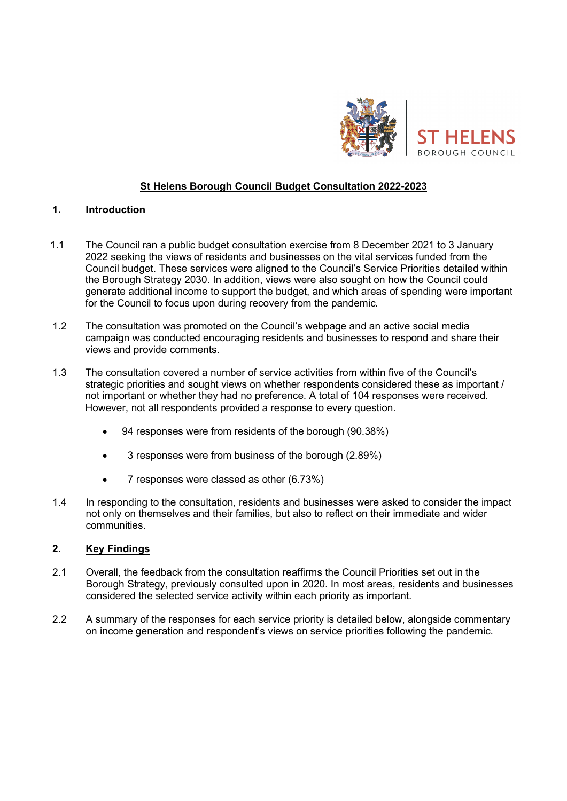

# St Helens Borough Council Budget Consultation 2022-2023

### 1. Introduction

- 1.1 The Council ran a public budget consultation exercise from 8 December 2021 to 3 January 2022 seeking the views of residents and businesses on the vital services funded from the Council budget. These services were aligned to the Council's Service Priorities detailed within the Borough Strategy 2030. In addition, views were also sought on how the Council could generate additional income to support the budget, and which areas of spending were important for the Council to focus upon during recovery from the pandemic.
- 1.2 The consultation was promoted on the Council's webpage and an active social media campaign was conducted encouraging residents and businesses to respond and share their views and provide comments.
- 1.3 The consultation covered a number of service activities from within five of the Council's strategic priorities and sought views on whether respondents considered these as important / not important or whether they had no preference. A total of 104 responses were received. However, not all respondents provided a response to every question.
	- 94 responses were from residents of the borough (90.38%)
	- 3 responses were from business of the borough (2.89%)
	- 7 responses were classed as other (6.73%)
- 1.4 In responding to the consultation, residents and businesses were asked to consider the impact not only on themselves and their families, but also to reflect on their immediate and wider communities.

# 2. Key Findings

- 2.1 Overall, the feedback from the consultation reaffirms the Council Priorities set out in the Borough Strategy, previously consulted upon in 2020. In most areas, residents and businesses considered the selected service activity within each priority as important.
- 2.2 A summary of the responses for each service priority is detailed below, alongside commentary on income generation and respondent's views on service priorities following the pandemic.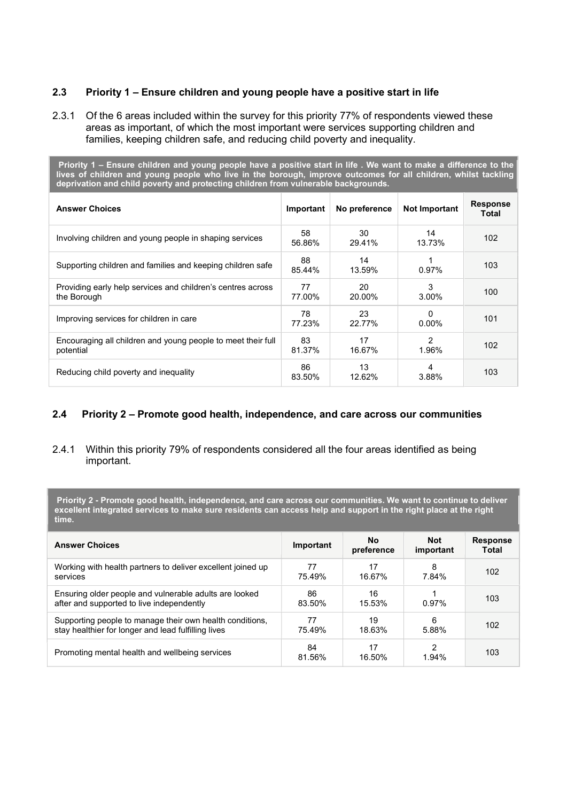## 2.3 Priority 1 – Ensure children and young people have a positive start in life

2.3.1 Of the 6 areas included within the survey for this priority 77% of respondents viewed these areas as important, of which the most important were services supporting children and families, keeping children safe, and reducing child poverty and inequality.

 Priority 1 – Ensure children and young people have a positive start in life . We want to make a difference to the lives of children and young people who live in the borough, improve outcomes for all children, whilst tackling deprivation and child poverty and protecting children from vulnerable backgrounds.

| <b>Answer Choices</b>                                                      | Important    | No preference | <b>Not Important</b> | <b>Response</b><br>Total |
|----------------------------------------------------------------------------|--------------|---------------|----------------------|--------------------------|
| Involving children and young people in shaping services                    | 58<br>56.86% | 30<br>29.41%  | 14<br>13.73%         | 102                      |
| Supporting children and families and keeping children safe                 | 88<br>85.44% | 14<br>13.59%  | 0.97%                | 103                      |
| Providing early help services and children's centres across<br>the Borough | 77<br>77.00% | 20<br>20.00%  | 3<br>3.00%           | 100                      |
| Improving services for children in care                                    | 78<br>77.23% | 23<br>22.77%  | O<br>$0.00\%$        | 101                      |
| Encouraging all children and young people to meet their full<br>potential  | 83<br>81.37% | 17<br>16.67%  | 2<br>1.96%           | 102                      |
| Reducing child poverty and inequality                                      | 86<br>83.50% | 13<br>12.62%  | 4<br>3.88%           | 103                      |

### 2.4 Priority 2 – Promote good health, independence, and care across our communities

### 2.4.1 Within this priority 79% of respondents considered all the four areas identified as being important.

 Priority 2 - Promote good health, independence, and care across our communities. We want to continue to deliver excellent integrated services to make sure residents can access help and support in the right place at the right time.

| <b>Answer Choices</b>                                                                                           | Important    | No.<br>preference | <b>Not</b><br>important | <b>Response</b><br>Total |
|-----------------------------------------------------------------------------------------------------------------|--------------|-------------------|-------------------------|--------------------------|
| Working with health partners to deliver excellent joined up<br>services                                         | 77<br>75.49% | 17<br>16.67%      | 8<br>7.84%              | 102                      |
| Ensuring older people and vulnerable adults are looked<br>after and supported to live independently             | 86<br>83.50% | 16<br>15.53%      | $0.97\%$                | 103                      |
| Supporting people to manage their own health conditions,<br>stay healthier for longer and lead fulfilling lives | 77<br>75.49% | 19<br>18.63%      | 6<br>5.88%              | 102                      |
| Promoting mental health and wellbeing services                                                                  | 84<br>81.56% | 17<br>16.50%      | 2<br>1.94%              | 103                      |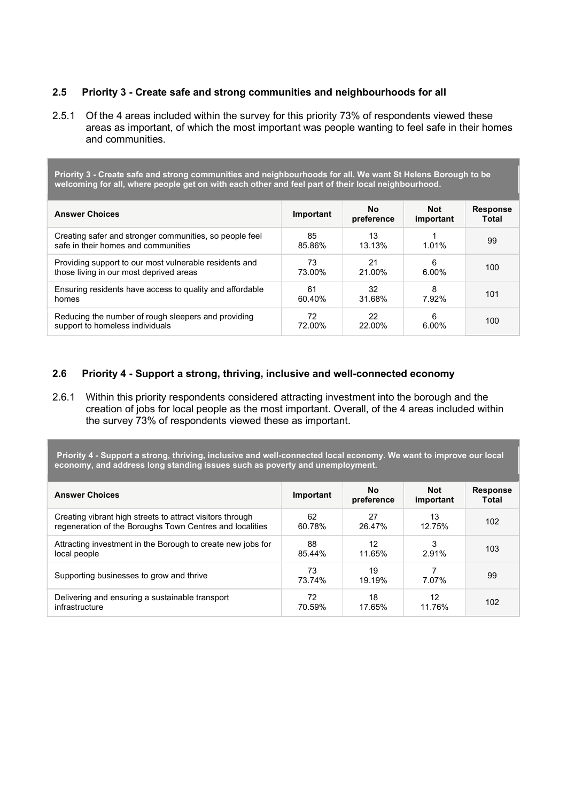## 2.5 Priority 3 - Create safe and strong communities and neighbourhoods for all

2.5.1 Of the 4 areas included within the survey for this priority 73% of respondents viewed these areas as important, of which the most important was people wanting to feel safe in their homes and communities.

Priority 3 - Create safe and strong communities and neighbourhoods for all. We want St Helens Borough to be welcoming for all, where people get on with each other and feel part of their local neighbourhood.

| <b>Answer Choices</b>                                                                          | Important    | No.<br>preference | <b>Not</b><br>important | <b>Response</b><br>Total |
|------------------------------------------------------------------------------------------------|--------------|-------------------|-------------------------|--------------------------|
| Creating safer and stronger communities, so people feel<br>safe in their homes and communities | 85<br>85.86% | 13<br>13.13%      | 1.01%                   | 99                       |
| Providing support to our most vulnerable residents and                                         | 73           | 21                | 6                       | 100                      |
| those living in our most deprived areas                                                        | 73.00%       | 21.00%            | 6.00%                   |                          |
| Ensuring residents have access to quality and affordable                                       | 61           | 32                | 8                       | 101                      |
| homes                                                                                          | 60.40%       | 31.68%            | 7.92%                   |                          |
| Reducing the number of rough sleepers and providing                                            | 72           | 22                | 6                       | 100                      |
| support to homeless individuals                                                                | 72.00%       | 22.00%            | 6.00%                   |                          |

### 2.6 Priority 4 - Support a strong, thriving, inclusive and well-connected economy

2.6.1 Within this priority respondents considered attracting investment into the borough and the creation of jobs for local people as the most important. Overall, of the 4 areas included within the survey 73% of respondents viewed these as important.

 Priority 4 - Support a strong, thriving, inclusive and well-connected local economy. We want to improve our local economy, and address long standing issues such as poverty and unemployment.

| <b>Answer Choices</b>                                       | Important    | <b>No</b><br>preference | <b>Not</b><br>important | <b>Response</b><br>Total |
|-------------------------------------------------------------|--------------|-------------------------|-------------------------|--------------------------|
| Creating vibrant high streets to attract visitors through   | 62           | 27                      | 13                      | 102                      |
| regeneration of the Boroughs Town Centres and localities    | 60.78%       | 26.47%                  | 12.75%                  |                          |
| Attracting investment in the Borough to create new jobs for | 88           | 12                      | 3                       | 103                      |
| local people                                                | 85.44%       | 11.65%                  | 2.91%                   |                          |
| Supporting businesses to grow and thrive                    | 73<br>73.74% | 19<br>19.19%            | 7.07%                   | 99                       |
| Delivering and ensuring a sustainable transport             | 72           | 18                      | 12                      | 102                      |
| infrastructure                                              | 70.59%       | 17.65%                  | 11.76%                  |                          |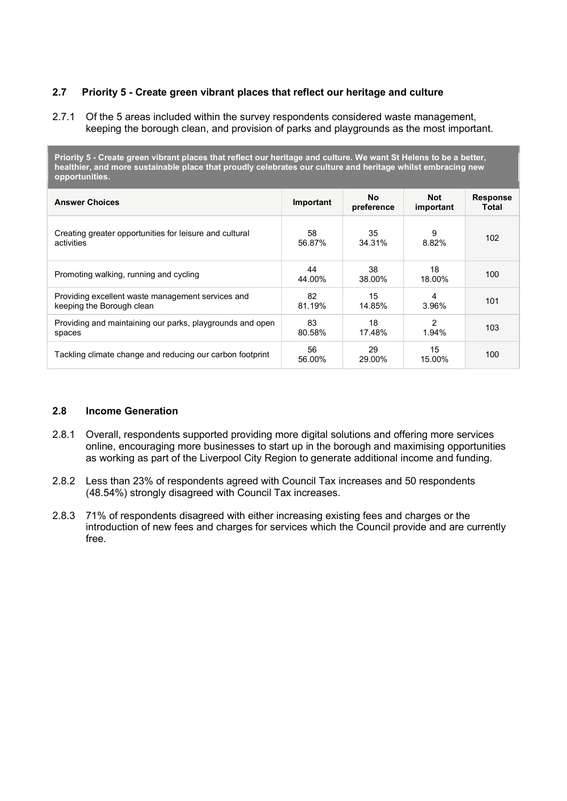## 2.7 Priority 5 - Create green vibrant places that reflect our heritage and culture

2.7.1 Of the 5 areas included within the survey respondents considered waste management, keeping the borough clean, and provision of parks and playgrounds as the most important.

Priority 5 - Create green vibrant places that reflect our heritage and culture. We want St Helens to be a better, healthier, and more sustainable place that proudly celebrates our culture and heritage whilst embracing new opportunities.

| <b>Answer Choices</b>                                     | Important    | <b>No</b><br>preference | <b>Not</b><br>important | <b>Response</b><br>Total |
|-----------------------------------------------------------|--------------|-------------------------|-------------------------|--------------------------|
| Creating greater opportunities for leisure and cultural   | 58           | 35                      | 9                       | 102                      |
| activities                                                | 56.87%       | 34.31%                  | 8.82%                   |                          |
| Promoting walking, running and cycling                    | 44<br>44.00% | 38<br>38.00%            | 18<br>18.00%            | 100                      |
| Providing excellent waste management services and         | 82           | 15                      | 4                       | 101                      |
| keeping the Borough clean                                 | 81.19%       | 14.85%                  | 3.96%                   |                          |
| Providing and maintaining our parks, playgrounds and open | 83           | 18                      | $\mathfrak{p}$          | 103                      |
| spaces                                                    | 80.58%       | 17.48%                  | 1.94%                   |                          |
| Tackling climate change and reducing our carbon footprint | 56<br>56.00% | 29<br>29.00%            | 15<br>15.00%            | 100                      |

## 2.8 Income Generation

- 2.8.1 Overall, respondents supported providing more digital solutions and offering more services online, encouraging more businesses to start up in the borough and maximising opportunities as working as part of the Liverpool City Region to generate additional income and funding.
- 2.8.2 Less than 23% of respondents agreed with Council Tax increases and 50 respondents (48.54%) strongly disagreed with Council Tax increases.
- 2.8.3 71% of respondents disagreed with either increasing existing fees and charges or the introduction of new fees and charges for services which the Council provide and are currently free.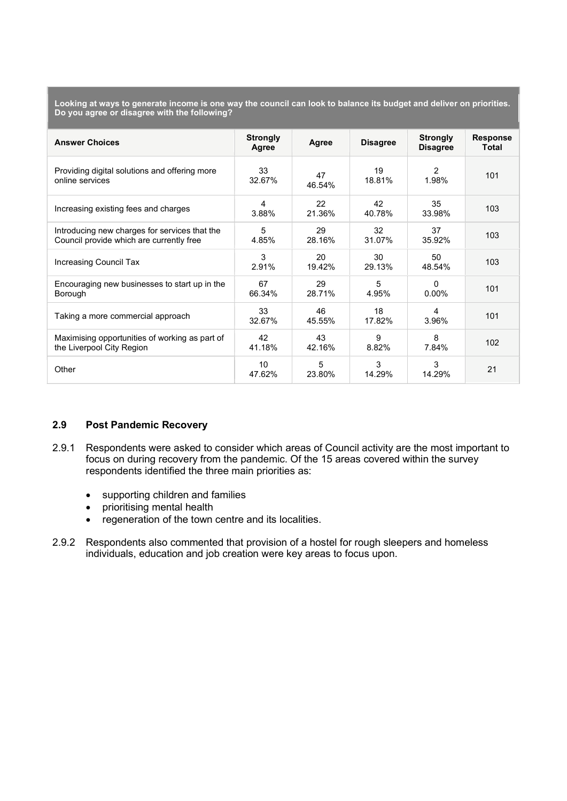Looking at ways to generate income is one way the council can look to balance its budget and deliver on priorities. Do you agree or disagree with the following?

| <b>Answer Choices</b>                                                                     | <b>Strongly</b><br>Agree | Agree        | <b>Disagree</b> | <b>Strongly</b><br><b>Disagree</b> | <b>Response</b><br>Total |
|-------------------------------------------------------------------------------------------|--------------------------|--------------|-----------------|------------------------------------|--------------------------|
| Providing digital solutions and offering more<br>online services                          | 33<br>32.67%             | 47<br>46.54% | 19<br>18.81%    | $\mathcal{P}$<br>1.98%             | 101                      |
| Increasing existing fees and charges                                                      | 4<br>3.88%               | 22<br>21.36% | 42<br>40.78%    | 35<br>33.98%                       | 103                      |
| Introducing new charges for services that the<br>Council provide which are currently free | 5<br>4.85%               | 29<br>28.16% | 32<br>31.07%    | 37<br>35.92%                       | 103                      |
| Increasing Council Tax                                                                    | 3<br>2.91%               | 20<br>19.42% | 30<br>29.13%    | 50<br>48.54%                       | 103                      |
| Encouraging new businesses to start up in the<br>Borough                                  | 67<br>66.34%             | 29<br>28.71% | 5<br>4.95%      | $\Omega$<br>$0.00\%$               | 101                      |
| Taking a more commercial approach                                                         | 33<br>32.67%             | 46<br>45.55% | 18<br>17.82%    | 4<br>3.96%                         | 101                      |
| Maximising opportunities of working as part of<br>the Liverpool City Region               | 42<br>41.18%             | 43<br>42.16% | 9<br>8.82%      | 8<br>7.84%                         | 102                      |
| Other                                                                                     | 10<br>47.62%             | 5<br>23.80%  | 3<br>14.29%     | 3<br>14.29%                        | 21                       |

### 2.9 Post Pandemic Recovery

- 2.9.1 Respondents were asked to consider which areas of Council activity are the most important to focus on during recovery from the pandemic. Of the 15 areas covered within the survey respondents identified the three main priorities as:
	- supporting children and families
	- prioritising mental health
	- regeneration of the town centre and its localities.
- 2.9.2 Respondents also commented that provision of a hostel for rough sleepers and homeless individuals, education and job creation were key areas to focus upon.